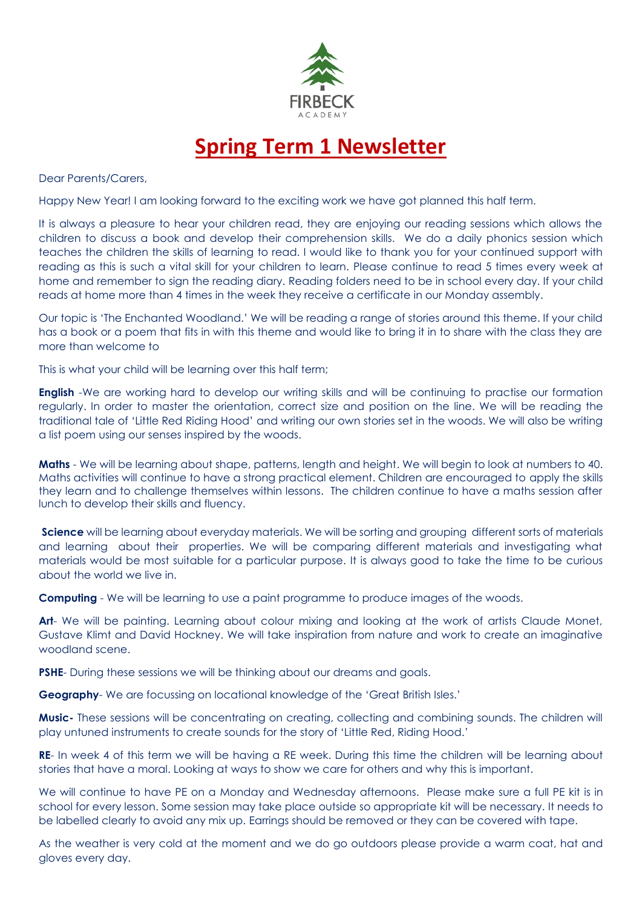

## **Spring Term 1 Newsletter**

Dear Parents/Carers,

Happy New Year! I am looking forward to the exciting work we have got planned this half term.

It is always a pleasure to hear your children read, they are enjoying our reading sessions which allows the children to discuss a book and develop their comprehension skills. We do a daily phonics session which teaches the children the skills of learning to read. I would like to thank you for your continued support with reading as this is such a vital skill for your children to learn. Please continue to read 5 times every week at home and remember to sign the reading diary. Reading folders need to be in school every day. If your child reads at home more than 4 times in the week they receive a certificate in our Monday assembly.

Our topic is 'The Enchanted Woodland.' We will be reading a range of stories around this theme. If your child has a book or a poem that fits in with this theme and would like to bring it in to share with the class they are more than welcome to

This is what your child will be learning over this half term;

**English** -We are working hard to develop our writing skills and will be continuing to practise our formation regularly. In order to master the orientation, correct size and position on the line. We will be reading the traditional tale of 'Little Red Riding Hood' and writing our own stories set in the woods. We will also be writing a list poem using our senses inspired by the woods.

**Maths** - We will be learning about shape, patterns, length and height. We will begin to look at numbers to 40. Maths activities will continue to have a strong practical element. Children are encouraged to apply the skills they learn and to challenge themselves within lessons. The children continue to have a maths session after lunch to develop their skills and fluency.

**Science** will be learning about everyday materials. We will be sorting and grouping different sorts of materials and learning about their properties. We will be comparing different materials and investigating what materials would be most suitable for a particular purpose. It is always good to take the time to be curious about the world we live in.

**Computing** - We will be learning to use a paint programme to produce images of the woods.

**Art**- We will be painting. Learning about colour mixing and looking at the work of artists Claude Monet, Gustave Klimt and David Hockney. We will take inspiration from nature and work to create an imaginative woodland scene.

**PSHE-** During these sessions we will be thinking about our dreams and goals.

**Geography**- We are focussing on locational knowledge of the 'Great British Isles.'

**Music-** These sessions will be concentrating on creating, collecting and combining sounds. The children will play untuned instruments to create sounds for the story of 'Little Red, Riding Hood.'

**RE**- In week 4 of this term we will be having a RE week. During this time the children will be learning about stories that have a moral. Looking at ways to show we care for others and why this is important.

We will continue to have PE on a Monday and Wednesday afternoons. Please make sure a full PE kit is in school for every lesson. Some session may take place outside so appropriate kit will be necessary. It needs to be labelled clearly to avoid any mix up. Earrings should be removed or they can be covered with tape.

As the weather is very cold at the moment and we do go outdoors please provide a warm coat, hat and gloves every day.